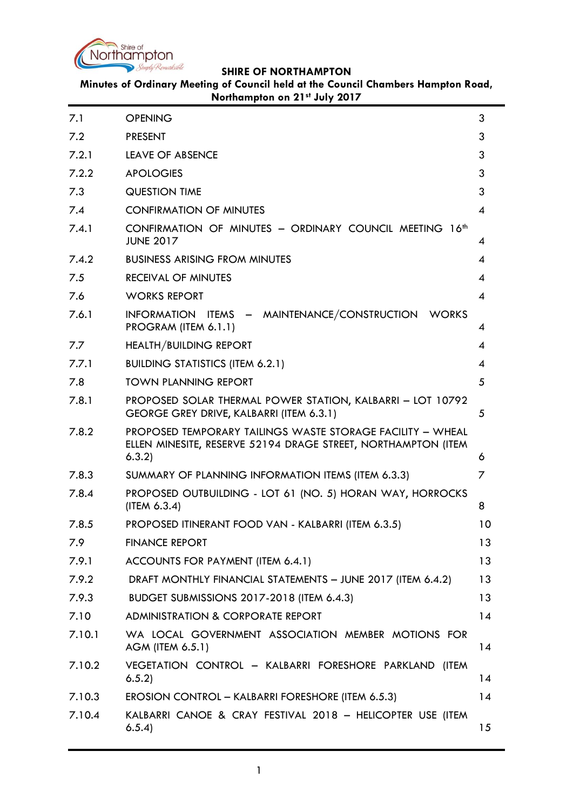

**Minutes of Ordinary Meeting of Council held at the Council Chambers Hampton Road, Northampton on 21st July 2017**

| 7.1    | <b>OPENING</b>                                                                                                                       | 3               |
|--------|--------------------------------------------------------------------------------------------------------------------------------------|-----------------|
| 7.2    | <b>PRESENT</b>                                                                                                                       | 3               |
| 7.2.1  | <b>LEAVE OF ABSENCE</b>                                                                                                              | 3               |
| 7.2.2  | <b>APOLOGIES</b>                                                                                                                     | 3               |
| 7.3    | <b>QUESTION TIME</b>                                                                                                                 | 3               |
| 7.4    | <b>CONFIRMATION OF MINUTES</b>                                                                                                       | 4               |
| 7.4.1  | CONFIRMATION OF MINUTES - ORDINARY COUNCIL MEETING 16 <sup>th</sup><br><b>JUNE 2017</b>                                              | 4               |
| 7.4.2  | <b>BUSINESS ARISING FROM MINUTES</b>                                                                                                 | 4               |
| 7.5    | <b>RECEIVAL OF MINUTES</b>                                                                                                           | 4               |
| 7.6    | <b>WORKS REPORT</b>                                                                                                                  | 4               |
| 7.6.1  | INFORMATION ITEMS - MAINTENANCE/CONSTRUCTION WORKS<br>PROGRAM (ITEM 6.1.1)                                                           | 4               |
| 7.7    | <b>HEALTH/BUILDING REPORT</b>                                                                                                        | 4               |
| 7.7.1  | <b>BUILDING STATISTICS (ITEM 6.2.1)</b>                                                                                              | 4               |
| 7.8    | <b>TOWN PLANNING REPORT</b>                                                                                                          | 5               |
| 7.8.1  | PROPOSED SOLAR THERMAL POWER STATION, KALBARRI - LOT 10792<br>GEORGE GREY DRIVE, KALBARRI (ITEM 6.3.1)                               | 5               |
| 7.8.2  | PROPOSED TEMPORARY TAILINGS WASTE STORAGE FACILITY - WHEAL<br>ELLEN MINESITE, RESERVE 52194 DRAGE STREET, NORTHAMPTON (ITEM<br>6.3.2 | 6               |
| 7.8.3  | SUMMARY OF PLANNING INFORMATION ITEMS (ITEM 6.3.3)                                                                                   | 7               |
| 7.8.4  | PROPOSED OUTBUILDING - LOT 61 (NO. 5) HORAN WAY, HORROCKS<br>(ITER 6.3.4)                                                            | 8               |
| 7.8.5  | PROPOSED ITINERANT FOOD VAN - KALBARRI (ITEM 6.3.5)                                                                                  | 10              |
| 7.9    | <b>FINANCE REPORT</b>                                                                                                                | 13              |
| 7.9.1  | ACCOUNTS FOR PAYMENT (ITEM 6.4.1)                                                                                                    | 13              |
| 7.9.2  | DRAFT MONTHLY FINANCIAL STATEMENTS - JUNE 2017 (ITEM 6.4.2)                                                                          | 13              |
| 7.9.3  | <b>BUDGET SUBMISSIONS 2017-2018 (ITEM 6.4.3)</b>                                                                                     | 13              |
| 7.10   | <b>ADMINISTRATION &amp; CORPORATE REPORT</b>                                                                                         | 14              |
| 7.10.1 | WA LOCAL GOVERNMENT ASSOCIATION MEMBER MOTIONS FOR<br>AGM (ITEM 6.5.1)                                                               | 14              |
| 7.10.2 | VEGETATION CONTROL - KALBARRI FORESHORE PARKLAND (ITEM<br>6.5.2                                                                      | 14              |
| 7.10.3 | EROSION CONTROL - KALBARRI FORESHORE (ITEM 6.5.3)                                                                                    | 14              |
| 7.10.4 | KALBARRI CANOE & CRAY FESTIVAL 2018 - HELICOPTER USE (ITEM<br>6.5.4)                                                                 | 15 <sub>1</sub> |
|        |                                                                                                                                      |                 |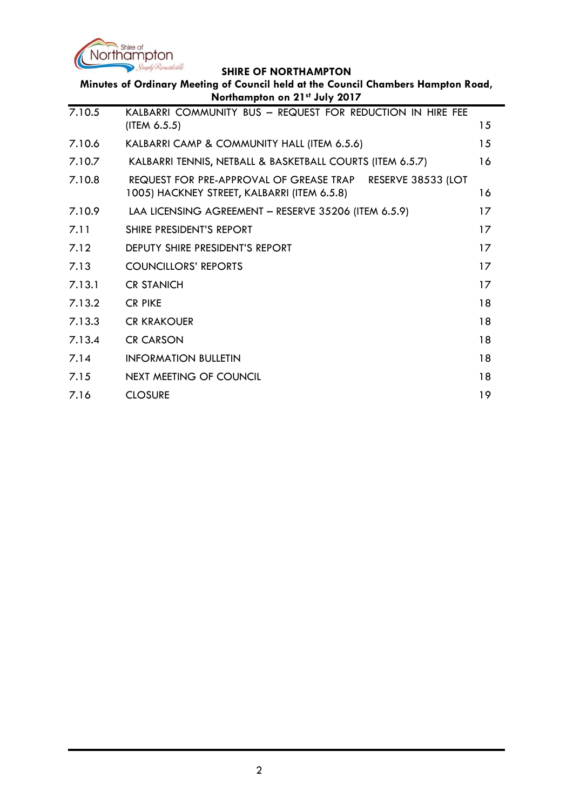

| Minutes of Ordinary Meeting of Council held at the Council Chambers Hampton Road,<br>Northampton on 21st July 2017 |                                                                            |    |
|--------------------------------------------------------------------------------------------------------------------|----------------------------------------------------------------------------|----|
| 7.10.5                                                                                                             | KALBARRI COMMUNITY BUS - REQUEST FOR REDUCTION IN HIRE FEE<br>(ITER 6.5.5) | 15 |

| 7.10.6 | KALBARRI CAMP & COMMUNITY HALL (ITEM 6.5.6)                                                               | 15      |
|--------|-----------------------------------------------------------------------------------------------------------|---------|
| 7.10.7 | KALBARRI TENNIS, NETBALL & BASKETBALL COURTS (ITEM 6.5.7)                                                 | 16      |
| 7.10.8 | REQUEST FOR PRE-APPROVAL OF GREASE TRAP RESERVE 38533 (LOT<br>1005) HACKNEY STREET, KALBARRI (ITEM 6.5.8) | 16      |
| 7.10.9 | LAA LICENSING AGREEMENT - RESERVE 35206 (ITEM 6.5.9)                                                      | 17      |
| 7.11   | SHIRE PRESIDENT'S REPORT                                                                                  | $17 \,$ |
| 7.12   | DEPUTY SHIRE PRESIDENT'S REPORT                                                                           | 17      |
| 7.13   | <b>COUNCILLORS' REPORTS</b>                                                                               | 17      |
| 7.13.1 | <b>CR STANICH</b>                                                                                         | $17 \,$ |
| 7.13.2 | <b>CR PIKE</b>                                                                                            | 18      |
| 7.13.3 | <b>CR KRAKOUER</b>                                                                                        | 18      |
| 7.13.4 | <b>CR CARSON</b>                                                                                          | 18      |
| 7.14   | <b>INFORMATION BULLETIN</b>                                                                               | 18      |
| 7.15   | NEXT MEETING OF COUNCIL                                                                                   | 18      |
| 7.16   | <b>CLOSURE</b>                                                                                            | 19      |
|        |                                                                                                           |         |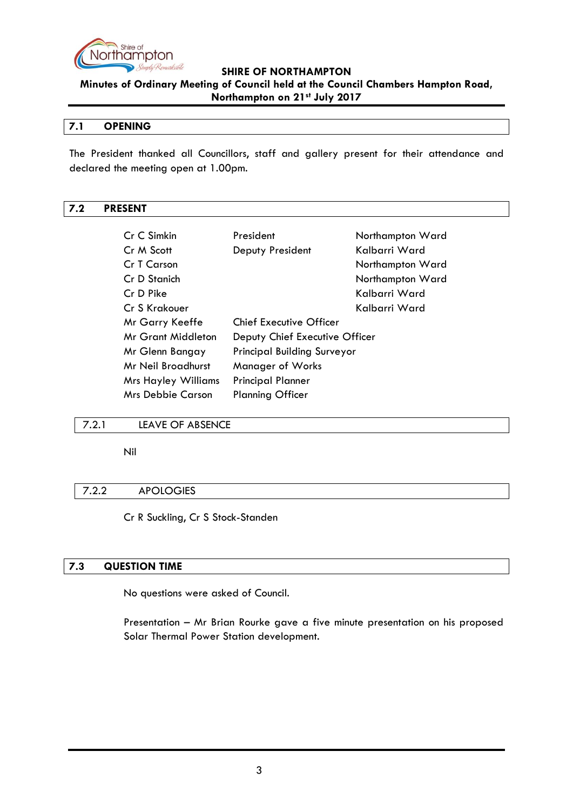

**Minutes of Ordinary Meeting of Council held at the Council Chambers Hampton Road, Northampton on 21st July 2017**

#### <span id="page-2-0"></span>**7.1 OPENING**

The President thanked all Councillors, staff and gallery present for their attendance and declared the meeting open at 1.00pm.

#### <span id="page-2-1"></span>**7.2 PRESENT**

| Cr C Simkin                | President                          | Northampton Ward |
|----------------------------|------------------------------------|------------------|
| Cr M Scott                 | Deputy President                   | Kalbarri Ward    |
| Cr T Carson                |                                    | Northampton Ward |
| Cr D Stanich               |                                    | Northampton Ward |
| Cr D Pike                  |                                    | Kalbarri Ward    |
| Cr S Krakouer              |                                    | Kalbarri Ward    |
| Mr Garry Keeffe            | <b>Chief Executive Officer</b>     |                  |
| Mr Grant Middleton         | Deputy Chief Executive Officer     |                  |
| Mr Glenn Bangay            | <b>Principal Building Surveyor</b> |                  |
| Mr Neil Broadhurst         | <b>Manager of Works</b>            |                  |
| <b>Mrs Hayley Williams</b> | <b>Principal Planner</b>           |                  |
| Mrs Debbie Carson          | <b>Planning Officer</b>            |                  |

#### <span id="page-2-2"></span>7.2.1 LEAVE OF ABSENCE

Nil

#### <span id="page-2-3"></span>7.2.2 APOLOGIES

Cr R Suckling, Cr S Stock-Standen

#### <span id="page-2-4"></span>**7.3 QUESTION TIME**

No questions were asked of Council.

Presentation – Mr Brian Rourke gave a five minute presentation on his proposed Solar Thermal Power Station development.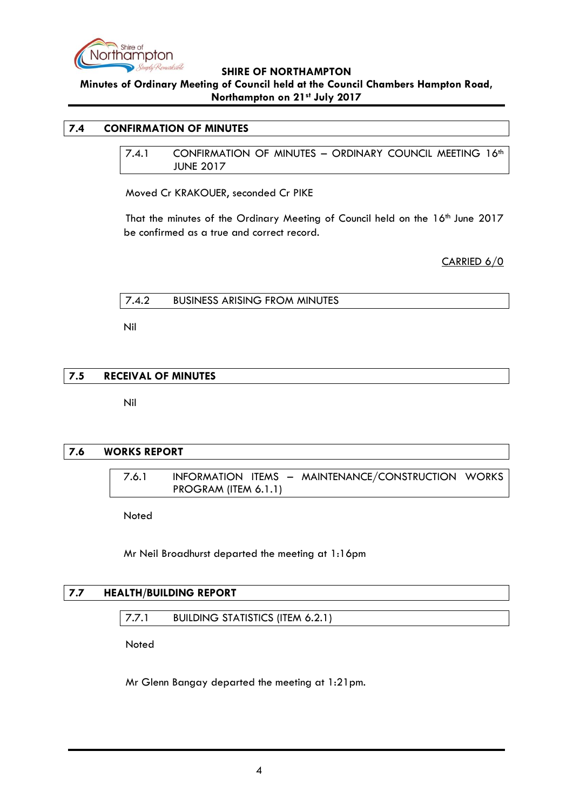

**Minutes of Ordinary Meeting of Council held at the Council Chambers Hampton Road, Northampton on 21st July 2017**

#### <span id="page-3-1"></span><span id="page-3-0"></span>**7.4 CONFIRMATION OF MINUTES**

7.4.1 CONFIRMATION OF MINUTES - ORDINARY COUNCIL MEETING 16th JUNE 2017

Moved Cr KRAKOUER, seconded Cr PIKE

That the minutes of the Ordinary Meeting of Council held on the 16<sup>th</sup> June 2017 be confirmed as a true and correct record.

CARRIED 6/0

<span id="page-3-2"></span>

|  | 7.4.2 | <b>BUSINESS ARISING FROM MINUTES</b> |  |
|--|-------|--------------------------------------|--|
|--|-------|--------------------------------------|--|

Nil

#### <span id="page-3-3"></span>**7.5 RECEIVAL OF MINUTES**

Nil

#### <span id="page-3-5"></span><span id="page-3-4"></span>**7.6 WORKS REPORT**

7.6.1 INFORMATION ITEMS – MAINTENANCE/CONSTRUCTION WORKS PROGRAM (ITEM 6.1.1)

Noted

Mr Neil Broadhurst departed the meeting at 1:16pm

#### <span id="page-3-7"></span><span id="page-3-6"></span>**7.7 HEALTH/BUILDING REPORT**

#### 7.7.1 BUILDING STATISTICS (ITEM 6.2.1)

**Noted** 

Mr Glenn Bangay departed the meeting at 1:21pm.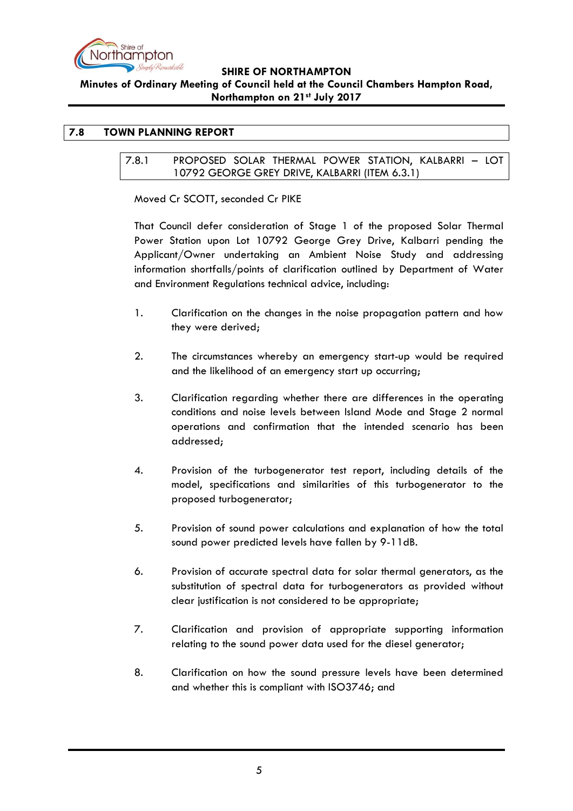

# **Minutes of Ordinary Meeting of Council held at the Council Chambers Hampton Road, Northampton on 21st July 2017**

# <span id="page-4-1"></span><span id="page-4-0"></span>**7.8 TOWN PLANNING REPORT**

#### 7.8.1 PROPOSED SOLAR THERMAL POWER STATION, KALBARRI – LOT 10792 GEORGE GREY DRIVE, KALBARRI (ITEM 6.3.1)

Moved Cr SCOTT, seconded Cr PIKE

That Council defer consideration of Stage 1 of the proposed Solar Thermal Power Station upon Lot 10792 George Grey Drive, Kalbarri pending the Applicant/Owner undertaking an Ambient Noise Study and addressing information shortfalls/points of clarification outlined by Department of Water and Environment Regulations technical advice, including:

- 1. Clarification on the changes in the noise propagation pattern and how they were derived;
- 2. The circumstances whereby an emergency start-up would be required and the likelihood of an emergency start up occurring;
- 3. Clarification regarding whether there are differences in the operating conditions and noise levels between Island Mode and Stage 2 normal operations and confirmation that the intended scenario has been addressed;
- 4. Provision of the turbogenerator test report, including details of the model, specifications and similarities of this turbogenerator to the proposed turbogenerator;
- 5. Provision of sound power calculations and explanation of how the total sound power predicted levels have fallen by 9-11dB.
- 6. Provision of accurate spectral data for solar thermal generators, as the substitution of spectral data for turbogenerators as provided without clear justification is not considered to be appropriate;
- 7. Clarification and provision of appropriate supporting information relating to the sound power data used for the diesel generator;
- 8. Clarification on how the sound pressure levels have been determined and whether this is compliant with ISO3746; and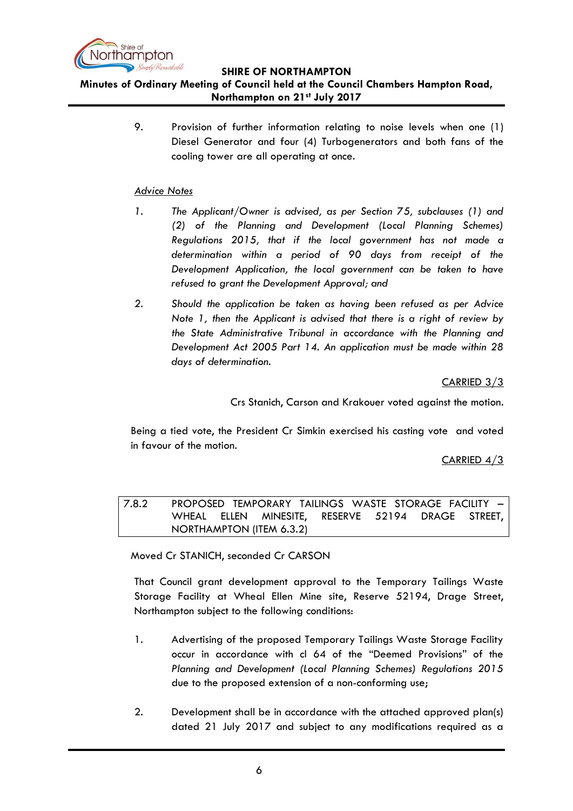

**Minutes of Ordinary Meeting of Council held at the Council Chambers Hampton Road, Northampton on 21st July 2017**

> 9. Provision of further information relating to noise levels when one (1) Diesel Generator and four (4) Turbogenerators and both fans of the cooling tower are all operating at once.

## *Advice Notes*

- *1. The Applicant/Owner is advised, as per Section 75, subclauses (1) and (2) of the Planning and Development (Local Planning Schemes) Regulations 2015, that if the local government has not made a determination within a period of 90 days from receipt of the Development Application, the local government can be taken to have refused to grant the Development Approval; and*
- *2. Should the application be taken as having been refused as per Advice Note 1, then the Applicant is advised that there is a right of review by the State Administrative Tribunal in accordance with the Planning and Development Act 2005 Part 14. An application must be made within 28 days of determination.*

CARRIED 3/3

Crs Stanich, Carson and Krakouer voted against the motion.

Being a tied vote, the President Cr Simkin exercised his casting vote and voted in favour of the motion.

CARRIED 4/3

<span id="page-5-0"></span>7.8.2 PROPOSED TEMPORARY TAILINGS WASTE STORAGE FACILITY – WHEAL ELLEN MINESITE, RESERVE 52194 DRAGE STREET, NORTHAMPTON (ITEM 6.3.2)

Moved Cr STANICH, seconded Cr CARSON

That Council grant development approval to the Temporary Tailings Waste Storage Facility at Wheal Ellen Mine site, Reserve 52194, Drage Street, Northampton subject to the following conditions:

- 1. Advertising of the proposed Temporary Tailings Waste Storage Facility occur in accordance with cl 64 of the "Deemed Provisions" of the *Planning and Development (Local Planning Schemes) Regulations 2015* due to the proposed extension of a non-conforming use;
- 2. Development shall be in accordance with the attached approved plan(s) dated 21 July 2017 and subject to any modifications required as a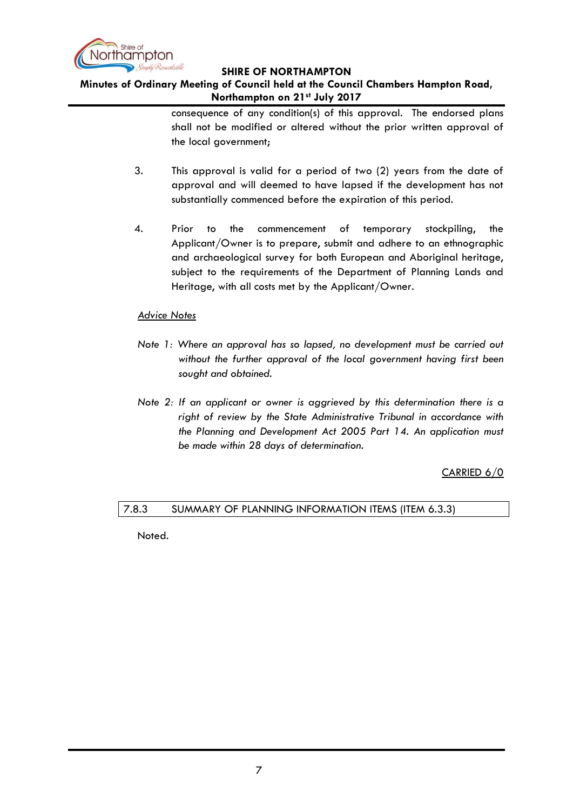

# **Minutes of Ordinary Meeting of Council held at the Council Chambers Hampton Road, Northampton on 21st July 2017**

consequence of any condition(s) of this approval. The endorsed plans shall not be modified or altered without the prior written approval of the local government;

- 3. This approval is valid for a period of two (2) years from the date of approval and will deemed to have lapsed if the development has not substantially commenced before the expiration of this period.
- 4. Prior to the commencement of temporary stockpiling, the Applicant/Owner is to prepare, submit and adhere to an ethnographic and archaeological survey for both European and Aboriginal heritage, subject to the requirements of the Department of Planning Lands and Heritage, with all costs met by the Applicant/Owner.

## *Advice Notes*

- *Note 1: Where an approval has so lapsed, no development must be carried out without the further approval of the local government having first been sought and obtained.*
- *Note 2: If an applicant or owner is aggrieved by this determination there is a right of review by the State Administrative Tribunal in accordance with the Planning and Development Act 2005 Part 14. An application must be made within 28 days of determination.*

CARRIED 6/0

## <span id="page-6-0"></span>7.8.3 SUMMARY OF PLANNING INFORMATION ITEMS (ITEM 6.3.3)

Noted.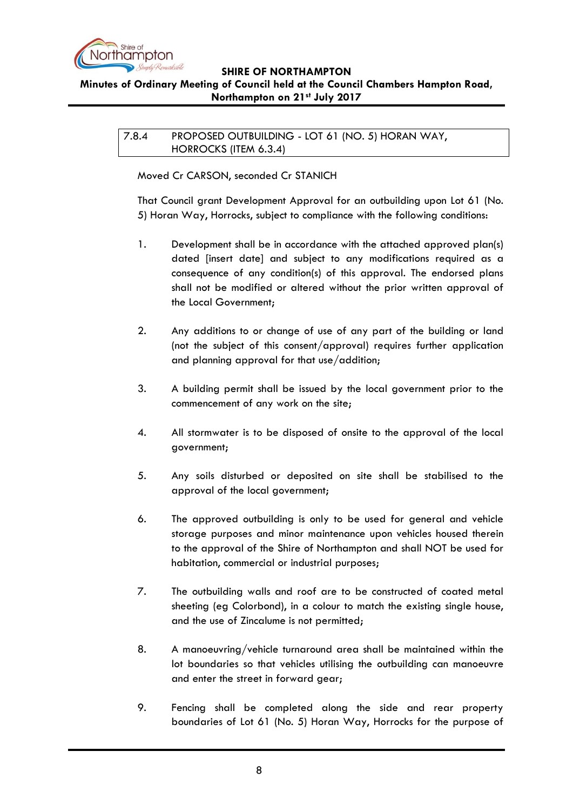

# <span id="page-7-0"></span>**Minutes of Ordinary Meeting of Council held at the Council Chambers Hampton Road, Northampton on 21st July 2017**

7.8.4 PROPOSED OUTBUILDING - LOT 61 (NO. 5) HORAN WAY, HORROCKS (ITEM 6.3.4)

Moved Cr CARSON, seconded Cr STANICH

That Council grant Development Approval for an outbuilding upon Lot 61 (No. 5) Horan Way, Horrocks, subject to compliance with the following conditions:

- 1. Development shall be in accordance with the attached approved plan(s) dated [insert date] and subject to any modifications required as a consequence of any condition(s) of this approval. The endorsed plans shall not be modified or altered without the prior written approval of the Local Government;
- 2. Any additions to or change of use of any part of the building or land (not the subject of this consent/approval) requires further application and planning approval for that use/addition;
- 3. A building permit shall be issued by the local government prior to the commencement of any work on the site;
- 4. All stormwater is to be disposed of onsite to the approval of the local government;
- 5. Any soils disturbed or deposited on site shall be stabilised to the approval of the local government;
- 6. The approved outbuilding is only to be used for general and vehicle storage purposes and minor maintenance upon vehicles housed therein to the approval of the Shire of Northampton and shall NOT be used for habitation, commercial or industrial purposes;
- 7. The outbuilding walls and roof are to be constructed of coated metal sheeting (eg Colorbond), in a colour to match the existing single house, and the use of Zincalume is not permitted;
- 8. A manoeuvring/vehicle turnaround area shall be maintained within the lot boundaries so that vehicles utilising the outbuilding can manoeuvre and enter the street in forward gear;
- 9. Fencing shall be completed along the side and rear property boundaries of Lot 61 (No. 5) Horan Way, Horrocks for the purpose of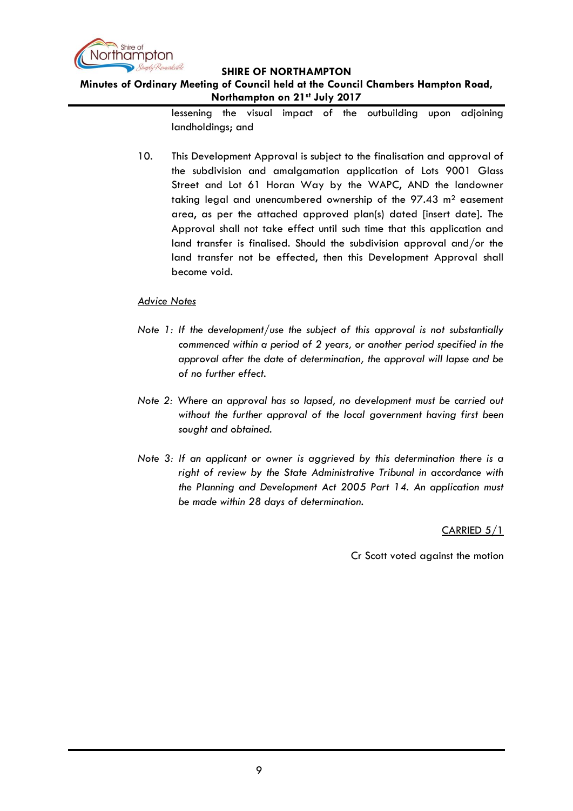

# **Minutes of Ordinary Meeting of Council held at the Council Chambers Hampton Road, Northampton on 21st July 2017**

lessening the visual impact of the outbuilding upon adjoining landholdings; and

10. This Development Approval is subject to the finalisation and approval of the subdivision and amalgamation application of Lots 9001 Glass Street and Lot 61 Horan Way by the WAPC, AND the landowner taking legal and unencumbered ownership of the 97.43 m<sup>2</sup> easement area, as per the attached approved plan(s) dated [insert date]. The Approval shall not take effect until such time that this application and land transfer is finalised. Should the subdivision approval and/or the land transfer not be effected, then this Development Approval shall become void.

## *Advice Notes*

- *Note 1: If the development/use the subject of this approval is not substantially commenced within a period of 2 years, or another period specified in the approval after the date of determination, the approval will lapse and be of no further effect.*
- *Note 2: Where an approval has so lapsed, no development must be carried out without the further approval of the local government having first been sought and obtained.*
- *Note 3: If an applicant or owner is aggrieved by this determination there is a right of review by the State Administrative Tribunal in accordance with the Planning and Development Act 2005 Part 14. An application must be made within 28 days of determination.*

CARRIED 5/1

Cr Scott voted against the motion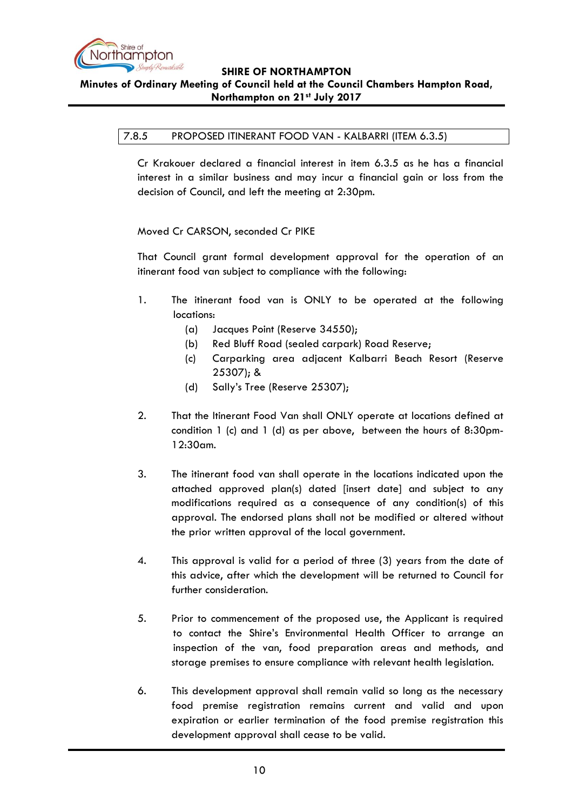

# <span id="page-9-0"></span>**Minutes of Ordinary Meeting of Council held at the Council Chambers Hampton Road, Northampton on 21st July 2017**

#### 7.8.5 PROPOSED ITINERANT FOOD VAN - KALBARRI (ITEM 6.3.5)

Cr Krakouer declared a financial interest in item 6.3.5 as he has a financial interest in a similar business and may incur a financial gain or loss from the decision of Council, and left the meeting at 2:30pm.

Moved Cr CARSON, seconded Cr PIKE

That Council grant formal development approval for the operation of an itinerant food van subject to compliance with the following:

- 1. The itinerant food van is ONLY to be operated at the following locations:
	- (a) Jacques Point (Reserve 34550);
	- (b) Red Bluff Road (sealed carpark) Road Reserve;
	- (c) Carparking area adjacent Kalbarri Beach Resort (Reserve 25307); &
	- (d) Sally"s Tree (Reserve 25307);
- 2. That the Itinerant Food Van shall ONLY operate at locations defined at condition 1 (c) and 1 (d) as per above, between the hours of 8:30pm-12:30am.
- 3. The itinerant food van shall operate in the locations indicated upon the attached approved plan(s) dated [insert date] and subject to any modifications required as a consequence of any condition(s) of this approval. The endorsed plans shall not be modified or altered without the prior written approval of the local government.
- 4. This approval is valid for a period of three (3) years from the date of this advice, after which the development will be returned to Council for further consideration.
- 5. Prior to commencement of the proposed use, the Applicant is required to contact the Shire"s Environmental Health Officer to arrange an inspection of the van, food preparation areas and methods, and storage premises to ensure compliance with relevant health legislation.
- 6. This development approval shall remain valid so long as the necessary food premise registration remains current and valid and upon expiration or earlier termination of the food premise registration this development approval shall cease to be valid.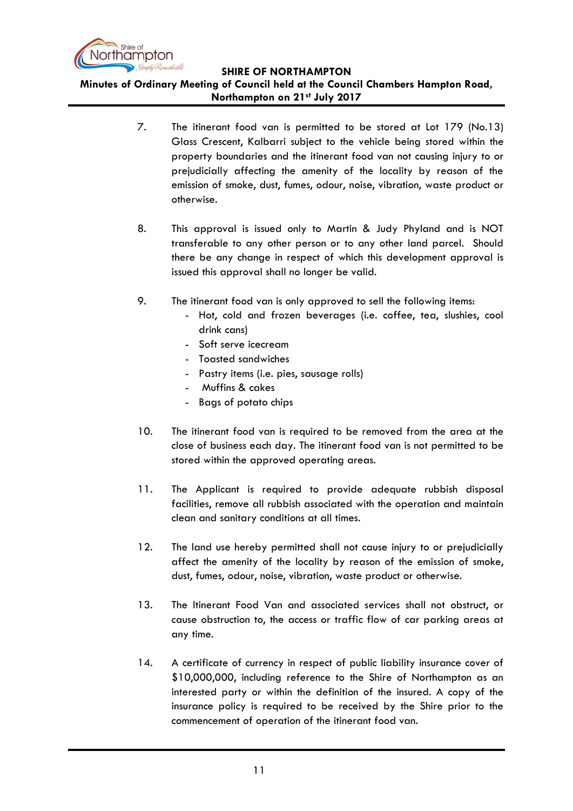

**Minutes of Ordinary Meeting of Council held at the Council Chambers Hampton Road, Northampton on 21st July 2017**

- 7. The itinerant food van is permitted to be stored at Lot 179 (No.13) Glass Crescent, Kalbarri subject to the vehicle being stored within the property boundaries and the itinerant food van not causing injury to or prejudicially affecting the amenity of the locality by reason of the emission of smoke, dust, fumes, odour, noise, vibration, waste product or otherwise.
- 8. This approval is issued only to Martin & Judy Phyland and is NOT transferable to any other person or to any other land parcel. Should there be any change in respect of which this development approval is issued this approval shall no longer be valid.
- 9. The itinerant food van is only approved to sell the following items:
	- Hot, cold and frozen beverages (i.e. coffee, tea, slushies, cool drink cans)
	- Soft serve icecream
	- Toasted sandwiches
	- Pastry items (i.e. pies, sausage rolls)
	- Muffins & cakes
	- Bags of potato chips
- 10. The itinerant food van is required to be removed from the area at the close of business each day. The itinerant food van is not permitted to be stored within the approved operating areas.
- 11. The Applicant is required to provide adequate rubbish disposal facilities, remove all rubbish associated with the operation and maintain clean and sanitary conditions at all times.
- 12. The land use hereby permitted shall not cause injury to or prejudicially affect the amenity of the locality by reason of the emission of smoke, dust, fumes, odour, noise, vibration, waste product or otherwise.
- 13. The Itinerant Food Van and associated services shall not obstruct, or cause obstruction to, the access or traffic flow of car parking areas at any time.
- 14. A certificate of currency in respect of public liability insurance cover of \$10,000,000, including reference to the Shire of Northampton as an interested party or within the definition of the insured. A copy of the insurance policy is required to be received by the Shire prior to the commencement of operation of the itinerant food van.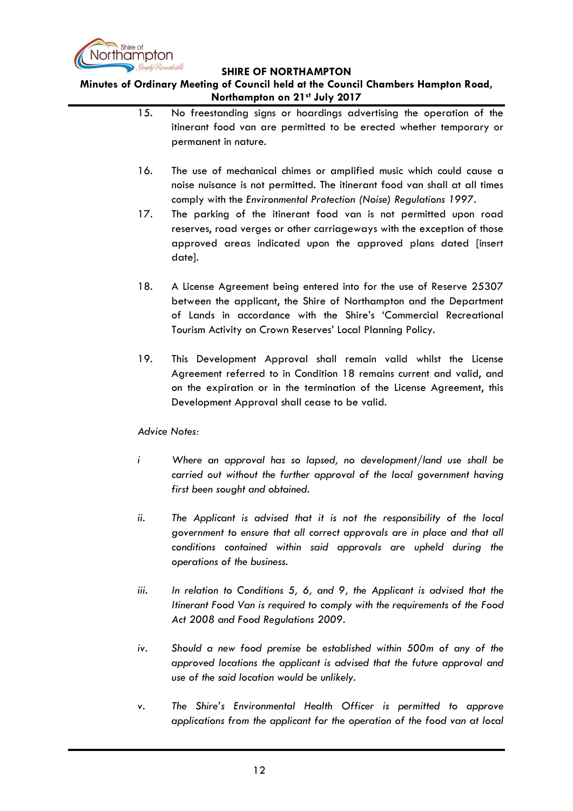

**Minutes of Ordinary Meeting of Council held at the Council Chambers Hampton Road, Northampton on 21st July 2017**

- 15. No freestanding signs or hoardings advertising the operation of the itinerant food van are permitted to be erected whether temporary or permanent in nature.
- 16. The use of mechanical chimes or amplified music which could cause a noise nuisance is not permitted. The itinerant food van shall at all times comply with the *Environmental Protection (Noise) Regulations 1997.*
- 17. The parking of the itinerant food van is not permitted upon road reserves, road verges or other carriageways with the exception of those approved areas indicated upon the approved plans dated [insert date].
- 18. A License Agreement being entered into for the use of Reserve 25307 between the applicant, the Shire of Northampton and the Department of Lands in accordance with the Shire"s "Commercial Recreational Tourism Activity on Crown Reserves' Local Planning Policy.
- 19. This Development Approval shall remain valid whilst the License Agreement referred to in Condition 18 remains current and valid, and on the expiration or in the termination of the License Agreement, this Development Approval shall cease to be valid.

*Advice Notes:*

- *i Where an approval has so lapsed, no development/land use shall be carried out without the further approval of the local government having first been sought and obtained.*
- *ii. The Applicant is advised that it is not the responsibility of the local government to ensure that all correct approvals are in place and that all conditions contained within said approvals are upheld during the operations of the business.*
- *iii. In relation to Conditions 5, 6, and 9, the Applicant is advised that the Itinerant Food Van is required to comply with the requirements of the Food Act 2008 and Food Regulations 2009.*
- *iv. Should a new food premise be established within 500m of any of the approved locations the applicant is advised that the future approval and use of the said location would be unlikely.*
- *v. The Shire's Environmental Health Officer is permitted to approve applications from the applicant for the operation of the food van at local*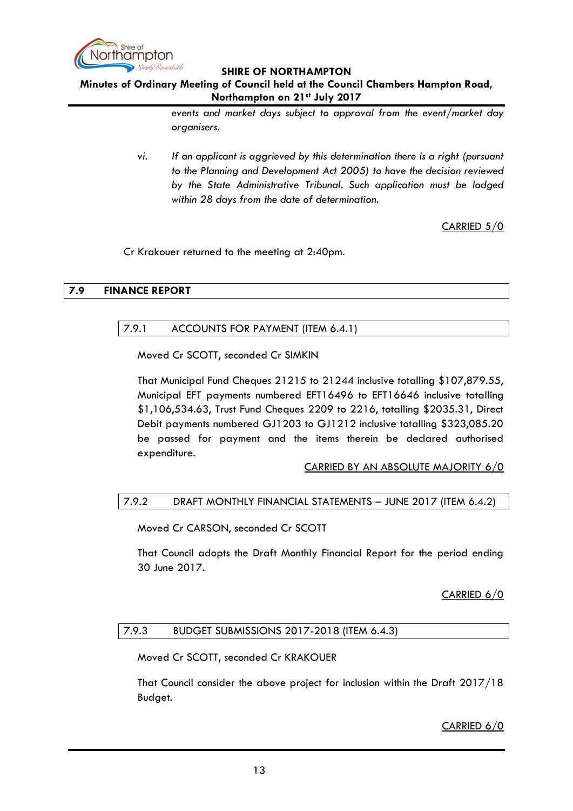

# **Minutes of Ordinary Meeting of Council held at the Council Chambers Hampton Road, Northampton on 21st July 2017**

*events and market days subject to approval from the event/market day organisers.* 

*vi. If an applicant is aggrieved by this determination there is a right (pursuant to the Planning and Development Act 2005) to have the decision reviewed by the State Administrative Tribunal. Such application must be lodged within 28 days from the date of determination.* 

CARRIED 5/0

Cr Krakouer returned to the meeting at 2:40pm.

#### <span id="page-12-1"></span><span id="page-12-0"></span>**7.9 FINANCE REPORT**

## 7.9.1 ACCOUNTS FOR PAYMENT (ITEM 6.4.1)

Moved Cr SCOTT, seconded Cr SIMKIN

That Municipal Fund Cheques 21215 to 21244 inclusive totalling \$107,879.55, Municipal EFT payments numbered EFT16496 to EFT16646 inclusive totalling \$1,106,534.63, Trust Fund Cheques 2209 to 2216, totalling \$2035.31, Direct Debit payments numbered GJ1203 to GJ1212 inclusive totalling \$323,085.20 be passed for payment and the items therein be declared authorised expenditure.

CARRIED BY AN ABSOLUTE MAJORITY 6/0

## <span id="page-12-2"></span>7.9.2 DRAFT MONTHLY FINANCIAL STATEMENTS – JUNE 2017 (ITEM 6.4.2)

Moved Cr CARSON, seconded Cr SCOTT

That Council adopts the Draft Monthly Financial Report for the period ending 30 June 2017.

CARRIED 6/0

## <span id="page-12-3"></span>7.9.3 BUDGET SUBMISSIONS 2017-2018 (ITEM 6.4.3)

Moved Cr SCOTT, seconded Cr KRAKOUER

That Council consider the above project for inclusion within the Draft 2017/18 Budget.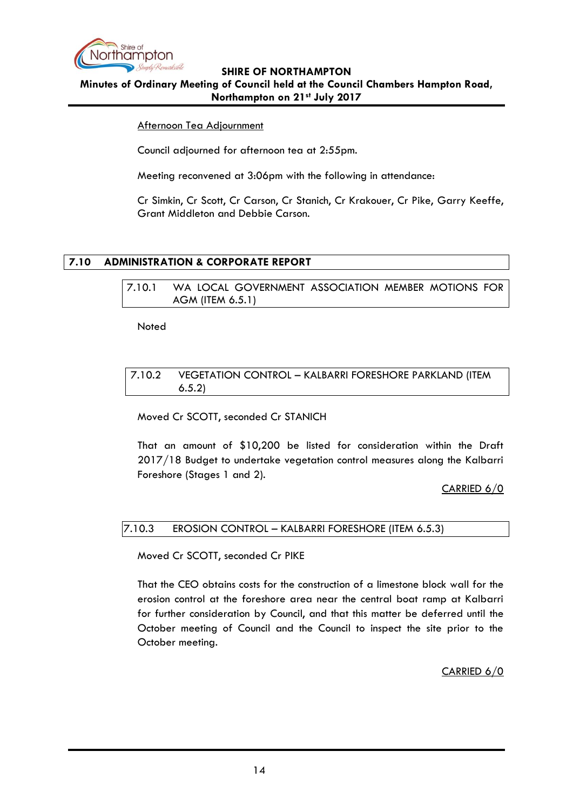

**Minutes of Ordinary Meeting of Council held at the Council Chambers Hampton Road, Northampton on 21st July 2017**

## Afternoon Tea Adjournment

Council adjourned for afternoon tea at 2:55pm.

Meeting reconvened at 3:06pm with the following in attendance:

Cr Simkin, Cr Scott, Cr Carson, Cr Stanich, Cr Krakouer, Cr Pike, Garry Keeffe, Grant Middleton and Debbie Carson.

# <span id="page-13-0"></span>**7.10 ADMINISTRATION & CORPORATE REPORT**

<span id="page-13-1"></span>7.10.1 WA LOCAL GOVERNMENT ASSOCIATION MEMBER MOTIONS FOR AGM (ITEM 6.5.1)

Noted

#### <span id="page-13-2"></span>7.10.2 VEGETATION CONTROL – KALBARRI FORESHORE PARKLAND (ITEM 6.5.2)

Moved Cr SCOTT, seconded Cr STANICH

That an amount of \$10,200 be listed for consideration within the Draft 2017/18 Budget to undertake vegetation control measures along the Kalbarri Foreshore (Stages 1 and 2).

CARRIED 6/0

## <span id="page-13-3"></span>7.10.3 EROSION CONTROL – KALBARRI FORESHORE (ITEM 6.5.3)

Moved Cr SCOTT, seconded Cr PIKE

That the CEO obtains costs for the construction of a limestone block wall for the erosion control at the foreshore area near the central boat ramp at Kalbarri for further consideration by Council, and that this matter be deferred until the October meeting of Council and the Council to inspect the site prior to the October meeting.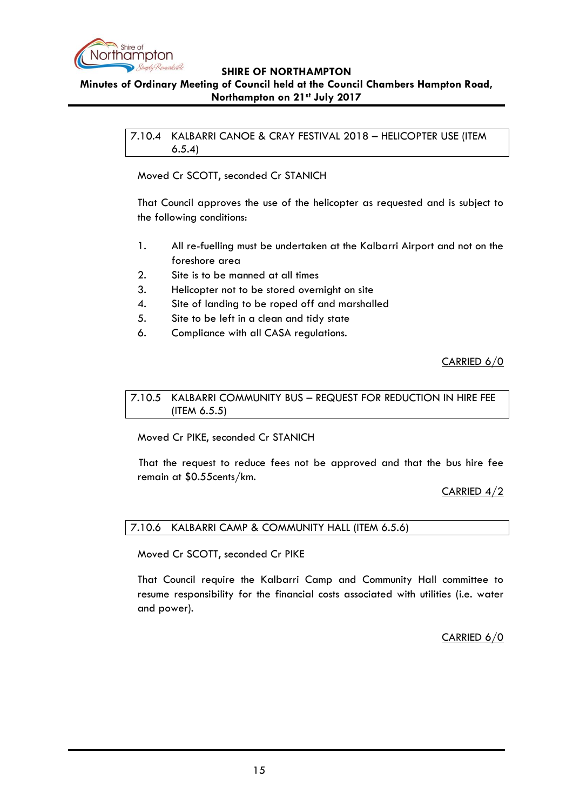

## <span id="page-14-0"></span>**Minutes of Ordinary Meeting of Council held at the Council Chambers Hampton Road, Northampton on 21st July 2017**

7.10.4 KALBARRI CANOE & CRAY FESTIVAL 2018 – HELICOPTER USE (ITEM 6.5.4)

Moved Cr SCOTT, seconded Cr STANICH

That Council approves the use of the helicopter as requested and is subject to the following conditions:

- 1. All re-fuelling must be undertaken at the Kalbarri Airport and not on the foreshore area
- 2. Site is to be manned at all times
- 3. Helicopter not to be stored overnight on site
- 4. Site of landing to be roped off and marshalled
- 5. Site to be left in a clean and tidy state
- 6. Compliance with all CASA regulations.

CARRIED 6/0

<span id="page-14-1"></span>7.10.5 KALBARRI COMMUNITY BUS – REQUEST FOR REDUCTION IN HIRE FEE (ITEM 6.5.5)

Moved Cr PIKE, seconded Cr STANICH

That the request to reduce fees not be approved and that the bus hire fee remain at \$0.55cents/km.

CARRIED 4/2

<span id="page-14-2"></span>7.10.6 KALBARRI CAMP & COMMUNITY HALL (ITEM 6.5.6)

Moved Cr SCOTT, seconded Cr PIKE

That Council require the Kalbarri Camp and Community Hall committee to resume responsibility for the financial costs associated with utilities (i.e. water and power).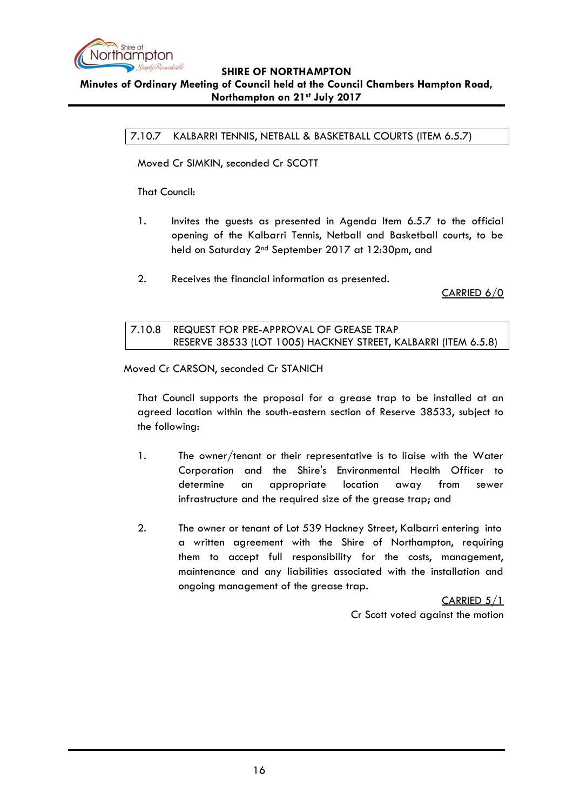

# <span id="page-15-0"></span>**SHIRE OF NORTHAMPTON Minutes of Ordinary Meeting of Council held at the Council Chambers Hampton Road,**

**Northampton on 21st July 2017**

7.10.7 KALBARRI TENNIS, NETBALL & BASKETBALL COURTS (ITEM 6.5.7)

Moved Cr SIMKIN, seconded Cr SCOTT

That Council:

- 1. Invites the guests as presented in Agenda Item 6.5.7 to the official opening of the Kalbarri Tennis, Netball and Basketball courts, to be held on Saturday 2nd September 2017 at 12:30pm, and
- 2. Receives the financial information as presented.

CARRIED 6/0

<span id="page-15-1"></span>

| 7.10.8     REQUEST FOR PRE-APPROVAL OF GREASE TRAP             |
|----------------------------------------------------------------|
| RESERVE 38533 (LOT 1005) HACKNEY STREET, KALBARRI (ITEM 6.5.8) |

Moved Cr CARSON, seconded Cr STANICH

That Council supports the proposal for a grease trap to be installed at an agreed location within the south-eastern section of Reserve 38533, subject to the following:

- 1. The owner/tenant or their representative is to liaise with the Water Corporation and the Shire's Environmental Health Officer to determine an appropriate location away from sewer infrastructure and the required size of the grease trap; and
- 2. The owner or tenant of Lot 539 Hackney Street, Kalbarri entering into a written agreement with the Shire of Northampton, requiring them to accept full responsibility for the costs, management, maintenance and any liabilities associated with the installation and ongoing management of the grease trap.

CARRIED 5/1 Cr Scott voted against the motion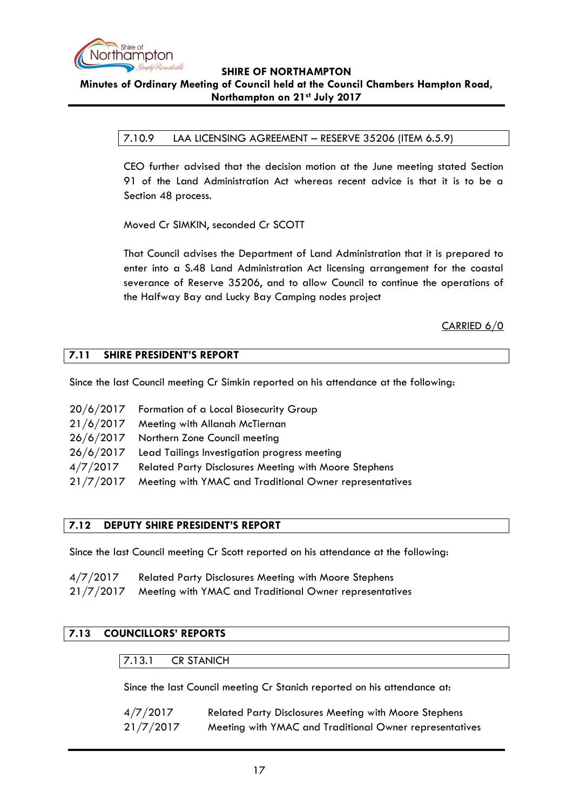

# **SHIRE OF NORTHAMPTON Minutes of Ordinary Meeting of Council held at the Council Chambers Hampton Road,**

#### **Northampton on 21st July 2017**

## <span id="page-16-0"></span>7.10.9 LAA LICENSING AGREEMENT – RESERVE 35206 (ITEM 6.5.9)

CEO further advised that the decision motion at the June meeting stated Section 91 of the Land Administration Act whereas recent advice is that it is to be a Section 48 process.

Moved Cr SIMKIN, seconded Cr SCOTT

That Council advises the Department of Land Administration that it is prepared to enter into a S.48 Land Administration Act licensing arrangement for the coastal severance of Reserve 35206, and to allow Council to continue the operations of the Halfway Bay and Lucky Bay Camping nodes project

# CARRIED 6/0

## <span id="page-16-1"></span>**7.11 SHIRE PRESIDENT'S REPORT**

Since the last Council meeting Cr Simkin reported on his attendance at the following:

|           | 20/6/2017 Formation of a Local Biosecurity Group             |
|-----------|--------------------------------------------------------------|
|           | 21/6/2017 Meeting with Allanah McTiernan                     |
|           | 26/6/2017 Northern Zone Council meeting                      |
| 26/6/2017 | Lead Tailings Investigation progress meeting                 |
| 4/7/2017  | <b>Related Party Disclosures Meeting with Moore Stephens</b> |
| 21/7/2017 | Meeting with YMAC and Traditional Owner representatives      |

## <span id="page-16-2"></span>**7.12 DEPUTY SHIRE PRESIDENT'S REPORT**

Since the last Council meeting Cr Scott reported on his attendance at the following:

| 4/7/2017 | <b>Related Party Disclosures Meeting with Moore Stephens</b>                                                                                           |
|----------|--------------------------------------------------------------------------------------------------------------------------------------------------------|
|          | $21/7/2017$ $M_{\odot}$ is the set of $V_{\rm th}$ $V_{\rm th}$ of $\Gamma$ and $\Gamma$ and it is a set $\Omega$ and $\Omega$ are a set of $\Omega$ . |

#### 21/7/2017 Meeting with YMAC and Traditional Owner representatives

# <span id="page-16-4"></span><span id="page-16-3"></span>**7.13 COUNCILLORS' REPORTS**

7.13.1 CR STANICH

Since the last Council meeting Cr Stanich reported on his attendance at:

| 4/7/2017  | <b>Related Party Disclosures Meeting with Moore Stephens</b> |
|-----------|--------------------------------------------------------------|
| 21/7/2017 | Meeting with YMAC and Traditional Owner representatives      |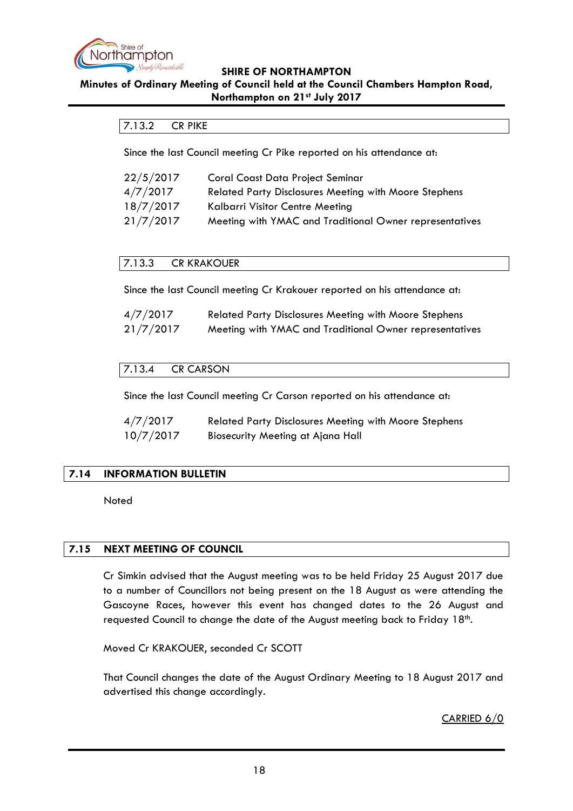

#### <span id="page-17-0"></span>**Minutes of Ordinary Meeting of Council held at the Council Chambers Hampton Road, Northampton on 21st July 2017**

## 7.13.2 CR PIKE

Since the last Council meeting Cr Pike reported on his attendance at:

| 22/5/2017 | <b>Coral Coast Data Project Seminar</b>                      |
|-----------|--------------------------------------------------------------|
| 4/7/2017  | <b>Related Party Disclosures Meeting with Moore Stephens</b> |
| 18/7/2017 | Kalbarri Visitor Centre Meeting                              |
| 21/7/2017 | Meeting with YMAC and Traditional Owner representatives      |

#### <span id="page-17-1"></span>7.13.3 CR KRAKOUER

Since the last Council meeting Cr Krakouer reported on his attendance at:

| 4/7/2017  | <b>Related Party Disclosures Meeting with Moore Stephens</b> |
|-----------|--------------------------------------------------------------|
| 21/7/2017 | Meeting with YMAC and Traditional Owner representatives      |

## <span id="page-17-2"></span>7.13.4 CR CARSON

Since the last Council meeting Cr Carson reported on his attendance at:

| 4/7/2017  | <b>Related Party Disclosures Meeting with Moore Stephens</b> |
|-----------|--------------------------------------------------------------|
| 10/7/2017 | <b>Biosecurity Meeting at Ajana Hall</b>                     |

## <span id="page-17-3"></span>**7.14 INFORMATION BULLETIN**

Noted

## <span id="page-17-4"></span>**7.15 NEXT MEETING OF COUNCIL**

Cr Simkin advised that the August meeting was to be held Friday 25 August 2017 due to a number of Councillors not being present on the 18 August as were attending the Gascoyne Races, however this event has changed dates to the 26 August and requested Council to change the date of the August meeting back to Friday 18<sup>th</sup>.

Moved Cr KRAKOUER, seconded Cr SCOTT

That Council changes the date of the August Ordinary Meeting to 18 August 2017 and advertised this change accordingly.